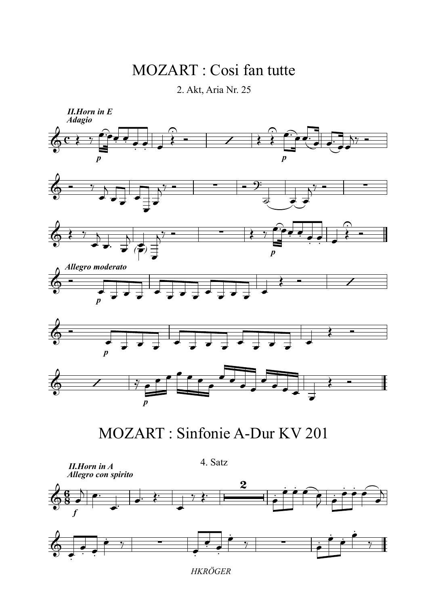## MOZART : Cosi fan tutte

2. Akt, Aria Nr. 25





*HKRÖGER*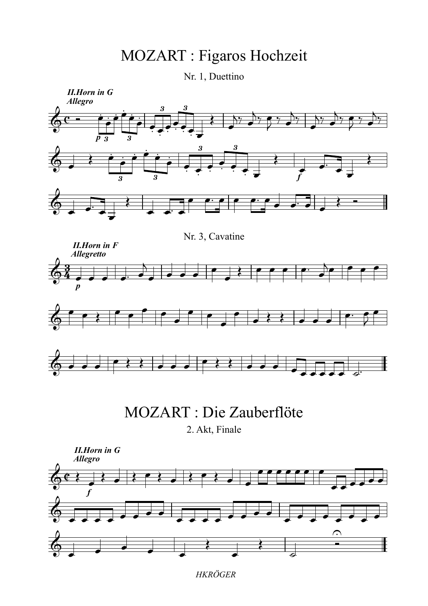## MOZART : Figaros Hochzeit

Nr. 1, Duettino



*HKRÖGER*